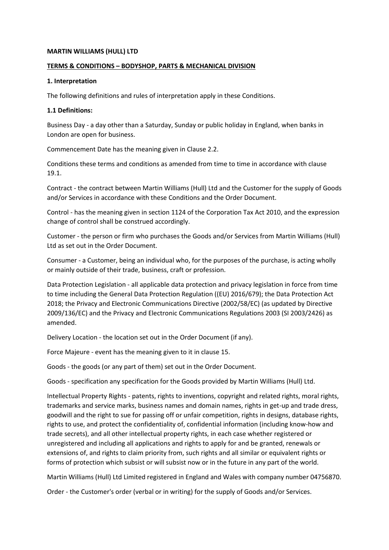#### **MARTIN WILLIAMS (HULL) LTD**

### **TERMS & CONDITIONS – BODYSHOP, PARTS & MECHANICAL DIVISION**

### **1. Interpretation**

The following definitions and rules of interpretation apply in these Conditions.

### **1.1 Definitions:**

Business Day - a day other than a Saturday, Sunday or public holiday in England, when banks in London are open for business.

Commencement Date has the meaning given in Clause 2.2.

Conditions these terms and conditions as amended from time to time in accordance with clause 19.1.

Contract - the contract between Martin Williams (Hull) Ltd and the Customer for the supply of Goods and/or Services in accordance with these Conditions and the Order Document.

Control - has the meaning given in section 1124 of the Corporation Tax Act 2010, and the expression change of control shall be construed accordingly.

Customer - the person or firm who purchases the Goods and/or Services from Martin Williams (Hull) Ltd as set out in the Order Document.

Consumer - a Customer, being an individual who, for the purposes of the purchase, is acting wholly or mainly outside of their trade, business, craft or profession.

Data Protection Legislation - all applicable data protection and privacy legislation in force from time to time including the General Data Protection Regulation ((EU) 2016/679); the Data Protection Act 2018; the Privacy and Electronic Communications Directive (2002/58/EC) (as updated by Directive 2009/136/EC) and the Privacy and Electronic Communications Regulations 2003 (SI 2003/2426) as amended.

Delivery Location - the location set out in the Order Document (if any).

Force Majeure - event has the meaning given to it in clause 15.

Goods - the goods (or any part of them) set out in the Order Document.

Goods - specification any specification for the Goods provided by Martin Williams (Hull) Ltd.

Intellectual Property Rights - patents, rights to inventions, copyright and related rights, moral rights, trademarks and service marks, business names and domain names, rights in get-up and trade dress, goodwill and the right to sue for passing off or unfair competition, rights in designs, database rights, rights to use, and protect the confidentiality of, confidential information (including know-how and trade secrets), and all other intellectual property rights, in each case whether registered or unregistered and including all applications and rights to apply for and be granted, renewals or extensions of, and rights to claim priority from, such rights and all similar or equivalent rights or forms of protection which subsist or will subsist now or in the future in any part of the world.

Martin Williams (Hull) Ltd Limited registered in England and Wales with company number 04756870.

Order - the Customer's order (verbal or in writing) for the supply of Goods and/or Services.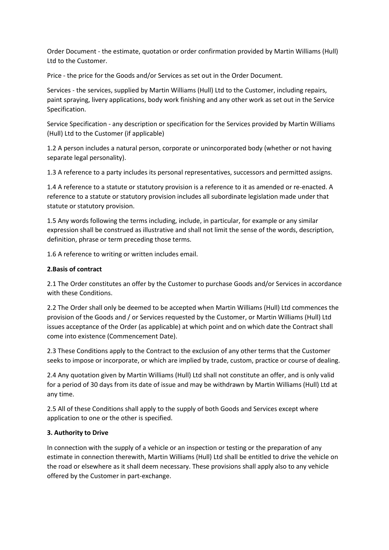Order Document - the estimate, quotation or order confirmation provided by Martin Williams (Hull) Ltd to the Customer.

Price - the price for the Goods and/or Services as set out in the Order Document.

Services - the services, supplied by Martin Williams (Hull) Ltd to the Customer, including repairs, paint spraying, livery applications, body work finishing and any other work as set out in the Service Specification.

Service Specification - any description or specification for the Services provided by Martin Williams (Hull) Ltd to the Customer (if applicable)

1.2 A person includes a natural person, corporate or unincorporated body (whether or not having separate legal personality).

1.3 A reference to a party includes its personal representatives, successors and permitted assigns.

1.4 A reference to a statute or statutory provision is a reference to it as amended or re-enacted. A reference to a statute or statutory provision includes all subordinate legislation made under that statute or statutory provision.

1.5 Any words following the terms including, include, in particular, for example or any similar expression shall be construed as illustrative and shall not limit the sense of the words, description, definition, phrase or term preceding those terms.

1.6 A reference to writing or written includes email.

### **2.Basis of contract**

2.1 The Order constitutes an offer by the Customer to purchase Goods and/or Services in accordance with these Conditions.

2.2 The Order shall only be deemed to be accepted when Martin Williams (Hull) Ltd commences the provision of the Goods and / or Services requested by the Customer, or Martin Williams (Hull) Ltd issues acceptance of the Order (as applicable) at which point and on which date the Contract shall come into existence (Commencement Date).

2.3 These Conditions apply to the Contract to the exclusion of any other terms that the Customer seeks to impose or incorporate, or which are implied by trade, custom, practice or course of dealing.

2.4 Any quotation given by Martin Williams (Hull) Ltd shall not constitute an offer, and is only valid for a period of 30 days from its date of issue and may be withdrawn by Martin Williams (Hull) Ltd at any time.

2.5 All of these Conditions shall apply to the supply of both Goods and Services except where application to one or the other is specified.

# **3. Authority to Drive**

In connection with the supply of a vehicle or an inspection or testing or the preparation of any estimate in connection therewith, Martin Williams (Hull) Ltd shall be entitled to drive the vehicle on the road or elsewhere as it shall deem necessary. These provisions shall apply also to any vehicle offered by the Customer in part-exchange.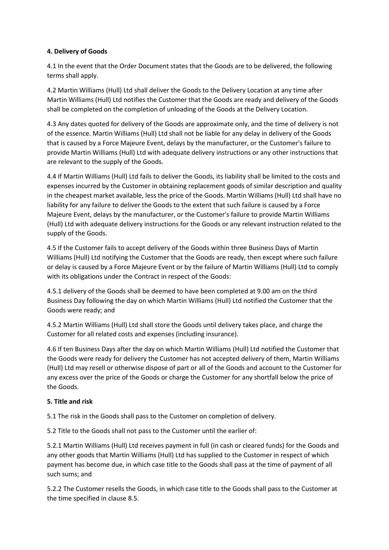## **4. Delivery of Goods**

4.1 In the event that the Order Document states that the Goods are to be delivered, the following terms shall apply.

4.2 Martin Williams (Hull) Ltd shall deliver the Goods to the Delivery Location at any time after Martin Williams (Hull) Ltd notifies the Customer that the Goods are ready and delivery of the Goods shall be completed on the completion of unloading of the Goods at the Delivery Location.

4.3 Any dates quoted for delivery of the Goods are approximate only, and the time of delivery is not of the essence. Martin Williams (Hull) Ltd shall not be liable for any delay in delivery of the Goods that is caused by a Force Majeure Event, delays by the manufacturer, or the Customer's failure to provide Martin Williams (Hull) Ltd with adequate delivery instructions or any other instructions that are relevant to the supply of the Goods.

4.4 If Martin Williams (Hull) Ltd fails to deliver the Goods, its liability shall be limited to the costs and expenses incurred by the Customer in obtaining replacement goods of similar description and quality in the cheapest market available, less the price of the Goods. Martin Williams (Hull) Ltd shall have no liability for any failure to deliver the Goods to the extent that such failure is caused by a Force Majeure Event, delays by the manufacturer, or the Customer's failure to provide Martin Williams (Hull) Ltd with adequate delivery instructions for the Goods or any relevant instruction related to the supply of the Goods.

4.5 If the Customer fails to accept delivery of the Goods within three Business Days of Martin Williams (Hull) Ltd notifying the Customer that the Goods are ready, then except where such failure or delay is caused by a Force Majeure Event or by the failure of Martin Williams (Hull) Ltd to comply with its obligations under the Contract in respect of the Goods:

4.5.1 delivery of the Goods shall be deemed to have been completed at 9.00 am on the third Business Day following the day on which Martin Williams (Hull) Ltd notified the Customer that the Goods were ready; and

4.5.2 Martin Williams (Hull) Ltd shall store the Goods until delivery takes place, and charge the Customer for all related costs and expenses (including insurance).

4.6 If ten Business Days after the day on which Martin Williams (Hull) Ltd notified the Customer that the Goods were ready for delivery the Customer has not accepted delivery of them, Martin Williams (Hull) Ltd may resell or otherwise dispose of part or all of the Goods and account to the Customer for any excess over the price of the Goods or charge the Customer for any shortfall below the price of the Goods.

### **5. Title and risk**

5.1 The risk in the Goods shall pass to the Customer on completion of delivery.

5.2 Title to the Goods shall not pass to the Customer until the earlier of:

5.2.1 Martin Williams (Hull) Ltd receives payment in full (in cash or cleared funds) for the Goods and any other goods that Martin Williams (Hull) Ltd has supplied to the Customer in respect of which payment has become due, in which case title to the Goods shall pass at the time of payment of all such sums; and

5.2.2 The Customer resells the Goods, in which case title to the Goods shall pass to the Customer at the time specified in clause 8.5.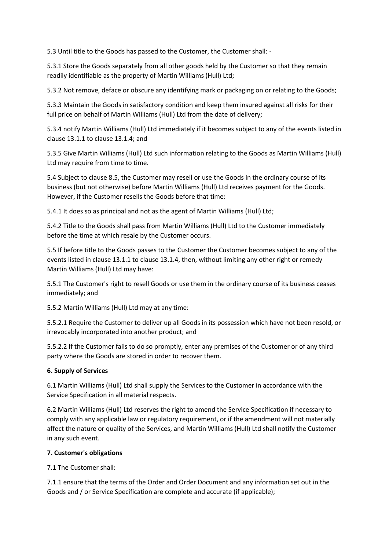5.3 Until title to the Goods has passed to the Customer, the Customer shall: -

5.3.1 Store the Goods separately from all other goods held by the Customer so that they remain readily identifiable as the property of Martin Williams (Hull) Ltd;

5.3.2 Not remove, deface or obscure any identifying mark or packaging on or relating to the Goods;

5.3.3 Maintain the Goods in satisfactory condition and keep them insured against all risks for their full price on behalf of Martin Williams (Hull) Ltd from the date of delivery;

5.3.4 notify Martin Williams (Hull) Ltd immediately if it becomes subject to any of the events listed in clause 13.1.1 to clause 13.1.4; and

5.3.5 Give Martin Williams (Hull) Ltd such information relating to the Goods as Martin Williams (Hull) Ltd may require from time to time.

5.4 Subject to clause 8.5, the Customer may resell or use the Goods in the ordinary course of its business (but not otherwise) before Martin Williams (Hull) Ltd receives payment for the Goods. However, if the Customer resells the Goods before that time:

5.4.1 It does so as principal and not as the agent of Martin Williams (Hull) Ltd;

5.4.2 Title to the Goods shall pass from Martin Williams (Hull) Ltd to the Customer immediately before the time at which resale by the Customer occurs.

5.5 If before title to the Goods passes to the Customer the Customer becomes subject to any of the events listed in clause 13.1.1 to clause 13.1.4, then, without limiting any other right or remedy Martin Williams (Hull) Ltd may have:

5.5.1 The Customer's right to resell Goods or use them in the ordinary course of its business ceases immediately; and

5.5.2 Martin Williams (Hull) Ltd may at any time:

5.5.2.1 Require the Customer to deliver up all Goods in its possession which have not been resold, or irrevocably incorporated into another product; and

5.5.2.2 If the Customer fails to do so promptly, enter any premises of the Customer or of any third party where the Goods are stored in order to recover them.

### **6. Supply of Services**

6.1 Martin Williams (Hull) Ltd shall supply the Services to the Customer in accordance with the Service Specification in all material respects.

6.2 Martin Williams (Hull) Ltd reserves the right to amend the Service Specification if necessary to comply with any applicable law or regulatory requirement, or if the amendment will not materially affect the nature or quality of the Services, and Martin Williams (Hull) Ltd shall notify the Customer in any such event.

### **7. Customer's obligations**

7.1 The Customer shall:

7.1.1 ensure that the terms of the Order and Order Document and any information set out in the Goods and / or Service Specification are complete and accurate (if applicable);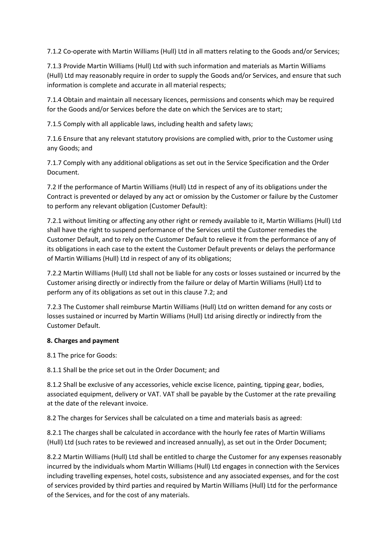7.1.2 Co-operate with Martin Williams (Hull) Ltd in all matters relating to the Goods and/or Services;

7.1.3 Provide Martin Williams (Hull) Ltd with such information and materials as Martin Williams (Hull) Ltd may reasonably require in order to supply the Goods and/or Services, and ensure that such information is complete and accurate in all material respects;

7.1.4 Obtain and maintain all necessary licences, permissions and consents which may be required for the Goods and/or Services before the date on which the Services are to start;

7.1.5 Comply with all applicable laws, including health and safety laws;

7.1.6 Ensure that any relevant statutory provisions are complied with, prior to the Customer using any Goods; and

7.1.7 Comply with any additional obligations as set out in the Service Specification and the Order Document.

7.2 If the performance of Martin Williams (Hull) Ltd in respect of any of its obligations under the Contract is prevented or delayed by any act or omission by the Customer or failure by the Customer to perform any relevant obligation (Customer Default):

7.2.1 without limiting or affecting any other right or remedy available to it, Martin Williams (Hull) Ltd shall have the right to suspend performance of the Services until the Customer remedies the Customer Default, and to rely on the Customer Default to relieve it from the performance of any of its obligations in each case to the extent the Customer Default prevents or delays the performance of Martin Williams (Hull) Ltd in respect of any of its obligations;

7.2.2 Martin Williams (Hull) Ltd shall not be liable for any costs or losses sustained or incurred by the Customer arising directly or indirectly from the failure or delay of Martin Williams (Hull) Ltd to perform any of its obligations as set out in this clause 7.2; and

7.2.3 The Customer shall reimburse Martin Williams (Hull) Ltd on written demand for any costs or losses sustained or incurred by Martin Williams (Hull) Ltd arising directly or indirectly from the Customer Default.

# **8. Charges and payment**

8.1 The price for Goods:

8.1.1 Shall be the price set out in the Order Document; and

8.1.2 Shall be exclusive of any accessories, vehicle excise licence, painting, tipping gear, bodies, associated equipment, delivery or VAT. VAT shall be payable by the Customer at the rate prevailing at the date of the relevant invoice.

8.2 The charges for Services shall be calculated on a time and materials basis as agreed:

8.2.1 The charges shall be calculated in accordance with the hourly fee rates of Martin Williams (Hull) Ltd (such rates to be reviewed and increased annually), as set out in the Order Document;

8.2.2 Martin Williams (Hull) Ltd shall be entitled to charge the Customer for any expenses reasonably incurred by the individuals whom Martin Williams (Hull) Ltd engages in connection with the Services including travelling expenses, hotel costs, subsistence and any associated expenses, and for the cost of services provided by third parties and required by Martin Williams (Hull) Ltd for the performance of the Services, and for the cost of any materials.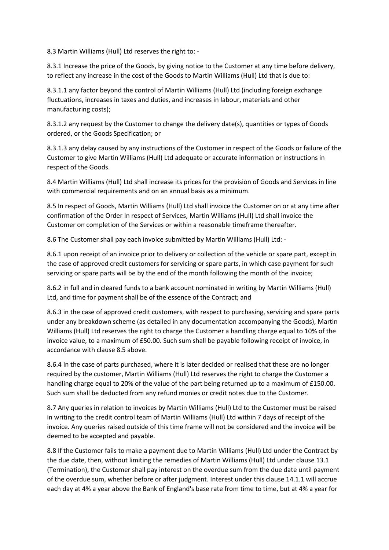8.3 Martin Williams (Hull) Ltd reserves the right to: -

8.3.1 Increase the price of the Goods, by giving notice to the Customer at any time before delivery, to reflect any increase in the cost of the Goods to Martin Williams (Hull) Ltd that is due to:

8.3.1.1 any factor beyond the control of Martin Williams (Hull) Ltd (including foreign exchange fluctuations, increases in taxes and duties, and increases in labour, materials and other manufacturing costs);

8.3.1.2 any request by the Customer to change the delivery date(s), quantities or types of Goods ordered, or the Goods Specification; or

8.3.1.3 any delay caused by any instructions of the Customer in respect of the Goods or failure of the Customer to give Martin Williams (Hull) Ltd adequate or accurate information or instructions in respect of the Goods.

8.4 Martin Williams (Hull) Ltd shall increase its prices for the provision of Goods and Services in line with commercial requirements and on an annual basis as a minimum.

8.5 In respect of Goods, Martin Williams (Hull) Ltd shall invoice the Customer on or at any time after confirmation of the Order In respect of Services, Martin Williams (Hull) Ltd shall invoice the Customer on completion of the Services or within a reasonable timeframe thereafter.

8.6 The Customer shall pay each invoice submitted by Martin Williams (Hull) Ltd: -

8.6.1 upon receipt of an invoice prior to delivery or collection of the vehicle or spare part, except in the case of approved credit customers for servicing or spare parts, in which case payment for such servicing or spare parts will be by the end of the month following the month of the invoice;

8.6.2 in full and in cleared funds to a bank account nominated in writing by Martin Williams (Hull) Ltd, and time for payment shall be of the essence of the Contract; and

8.6.3 in the case of approved credit customers, with respect to purchasing, servicing and spare parts under any breakdown scheme (as detailed in any documentation accompanying the Goods), Martin Williams (Hull) Ltd reserves the right to charge the Customer a handling charge equal to 10% of the invoice value, to a maximum of £50.00. Such sum shall be payable following receipt of invoice, in accordance with clause 8.5 above.

8.6.4 In the case of parts purchased, where it is later decided or realised that these are no longer required by the customer, Martin Williams (Hull) Ltd reserves the right to charge the Customer a handling charge equal to 20% of the value of the part being returned up to a maximum of £150.00. Such sum shall be deducted from any refund monies or credit notes due to the Customer.

8.7 Any queries in relation to invoices by Martin Williams (Hull) Ltd to the Customer must be raised in writing to the credit control team of Martin Williams (Hull) Ltd within 7 days of receipt of the invoice. Any queries raised outside of this time frame will not be considered and the invoice will be deemed to be accepted and payable.

8.8 If the Customer fails to make a payment due to Martin Williams (Hull) Ltd under the Contract by the due date, then, without limiting the remedies of Martin Williams (Hull) Ltd under clause 13.1 (Termination), the Customer shall pay interest on the overdue sum from the due date until payment of the overdue sum, whether before or after judgment. Interest under this clause 14.1.1 will accrue each day at 4% a year above the Bank of England's base rate from time to time, but at 4% a year for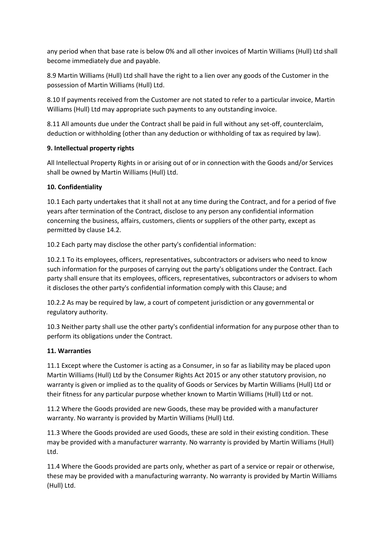any period when that base rate is below 0% and all other invoices of Martin Williams (Hull) Ltd shall become immediately due and payable.

8.9 Martin Williams (Hull) Ltd shall have the right to a lien over any goods of the Customer in the possession of Martin Williams (Hull) Ltd.

8.10 If payments received from the Customer are not stated to refer to a particular invoice, Martin Williams (Hull) Ltd may appropriate such payments to any outstanding invoice.

8.11 All amounts due under the Contract shall be paid in full without any set-off, counterclaim, deduction or withholding (other than any deduction or withholding of tax as required by law).

# **9. Intellectual property rights**

All Intellectual Property Rights in or arising out of or in connection with the Goods and/or Services shall be owned by Martin Williams (Hull) Ltd.

## **10. Confidentiality**

10.1 Each party undertakes that it shall not at any time during the Contract, and for a period of five years after termination of the Contract, disclose to any person any confidential information concerning the business, affairs, customers, clients or suppliers of the other party, except as permitted by clause 14.2.

10.2 Each party may disclose the other party's confidential information:

10.2.1 To its employees, officers, representatives, subcontractors or advisers who need to know such information for the purposes of carrying out the party's obligations under the Contract. Each party shall ensure that its employees, officers, representatives, subcontractors or advisers to whom it discloses the other party's confidential information comply with this Clause; and

10.2.2 As may be required by law, a court of competent jurisdiction or any governmental or regulatory authority.

10.3 Neither party shall use the other party's confidential information for any purpose other than to perform its obligations under the Contract.

### **11. Warranties**

11.1 Except where the Customer is acting as a Consumer, in so far as liability may be placed upon Martin Williams (Hull) Ltd by the Consumer Rights Act 2015 or any other statutory provision, no warranty is given or implied as to the quality of Goods or Services by Martin Williams (Hull) Ltd or their fitness for any particular purpose whether known to Martin Williams (Hull) Ltd or not.

11.2 Where the Goods provided are new Goods, these may be provided with a manufacturer warranty. No warranty is provided by Martin Williams (Hull) Ltd.

11.3 Where the Goods provided are used Goods, these are sold in their existing condition. These may be provided with a manufacturer warranty. No warranty is provided by Martin Williams (Hull) Ltd.

11.4 Where the Goods provided are parts only, whether as part of a service or repair or otherwise, these may be provided with a manufacturing warranty. No warranty is provided by Martin Williams (Hull) Ltd.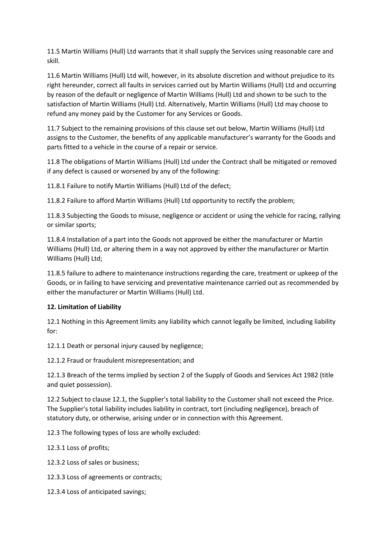11.5 Martin Williams (Hull) Ltd warrants that it shall supply the Services using reasonable care and skill.

11.6 Martin Williams (Hull) Ltd will, however, in its absolute discretion and without prejudice to its right hereunder, correct all faults in services carried out by Martin Williams (Hull) Ltd and occurring by reason of the default or negligence of Martin Williams (Hull) Ltd and shown to be such to the satisfaction of Martin Williams (Hull) Ltd. Alternatively, Martin Williams (Hull) Ltd may choose to refund any money paid by the Customer for any Services or Goods.

11.7 Subject to the remaining provisions of this clause set out below, Martin Williams (Hull) Ltd assigns to the Customer, the benefits of any applicable manufacturer's warranty for the Goods and parts fitted to a vehicle in the course of a repair or service.

11.8 The obligations of Martin Williams (Hull) Ltd under the Contract shall be mitigated or removed if any defect is caused or worsened by any of the following:

11.8.1 Failure to notify Martin Williams (Hull) Ltd of the defect;

11.8.2 Failure to afford Martin Williams (Hull) Ltd opportunity to rectify the problem;

11.8.3 Subjecting the Goods to misuse, negligence or accident or using the vehicle for racing, rallying or similar sports;

11.8.4 Installation of a part into the Goods not approved be either the manufacturer or Martin Williams (Hull) Ltd, or altering them in a way not approved by either the manufacturer or Martin Williams (Hull) Ltd;

11.8.5 failure to adhere to maintenance instructions regarding the care, treatment or upkeep of the Goods, or in failing to have servicing and preventative maintenance carried out as recommended by either the manufacturer or Martin Williams (Hull) Ltd.

### **12. Limitation of Liability**

12.1 Nothing in this Agreement limits any liability which cannot legally be limited, including liability for:

12.1.1 Death or personal injury caused by negligence;

12.1.2 Fraud or fraudulent misrepresentation; and

12.1.3 Breach of the terms implied by section 2 of the Supply of Goods and Services Act 1982 (title and quiet possession).

12.2 Subject to clause 12.1, the Supplier's total liability to the Customer shall not exceed the Price. The Supplier's total liability includes liability in contract, tort (including negligence), breach of statutory duty, or otherwise, arising under or in connection with this Agreement.

12.3 The following types of loss are wholly excluded:

12.3.1 Loss of profits;

12.3.2 Loss of sales or business;

12.3.3 Loss of agreements or contracts;

12.3.4 Loss of anticipated savings;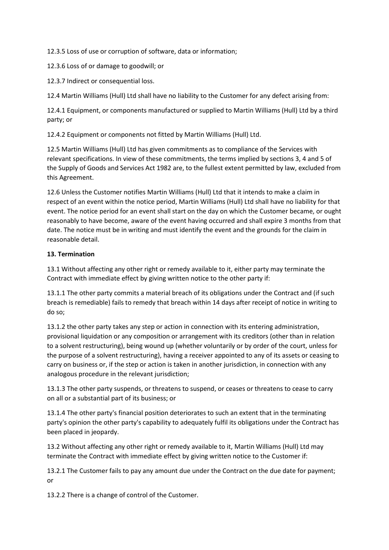12.3.5 Loss of use or corruption of software, data or information;

12.3.6 Loss of or damage to goodwill; or

12.3.7 Indirect or consequential loss.

12.4 Martin Williams (Hull) Ltd shall have no liability to the Customer for any defect arising from:

12.4.1 Equipment, or components manufactured or supplied to Martin Williams (Hull) Ltd by a third party; or

12.4.2 Equipment or components not fitted by Martin Williams (Hull) Ltd.

12.5 Martin Williams (Hull) Ltd has given commitments as to compliance of the Services with relevant specifications. In view of these commitments, the terms implied by sections 3, 4 and 5 of the Supply of Goods and Services Act 1982 are, to the fullest extent permitted by law, excluded from this Agreement.

12.6 Unless the Customer notifies Martin Williams (Hull) Ltd that it intends to make a claim in respect of an event within the notice period, Martin Williams (Hull) Ltd shall have no liability for that event. The notice period for an event shall start on the day on which the Customer became, or ought reasonably to have become, aware of the event having occurred and shall expire 3 months from that date. The notice must be in writing and must identify the event and the grounds for the claim in reasonable detail.

## **13. Termination**

13.1 Without affecting any other right or remedy available to it, either party may terminate the Contract with immediate effect by giving written notice to the other party if:

13.1.1 The other party commits a material breach of its obligations under the Contract and (if such breach is remediable) fails to remedy that breach within 14 days after receipt of notice in writing to do so;

13.1.2 the other party takes any step or action in connection with its entering administration, provisional liquidation or any composition or arrangement with its creditors (other than in relation to a solvent restructuring), being wound up (whether voluntarily or by order of the court, unless for the purpose of a solvent restructuring), having a receiver appointed to any of its assets or ceasing to carry on business or, if the step or action is taken in another jurisdiction, in connection with any analogous procedure in the relevant jurisdiction;

13.1.3 The other party suspends, or threatens to suspend, or ceases or threatens to cease to carry on all or a substantial part of its business; or

13.1.4 The other party's financial position deteriorates to such an extent that in the terminating party's opinion the other party's capability to adequately fulfil its obligations under the Contract has been placed in jeopardy.

13.2 Without affecting any other right or remedy available to it, Martin Williams (Hull) Ltd may terminate the Contract with immediate effect by giving written notice to the Customer if:

13.2.1 The Customer fails to pay any amount due under the Contract on the due date for payment; or

13.2.2 There is a change of control of the Customer.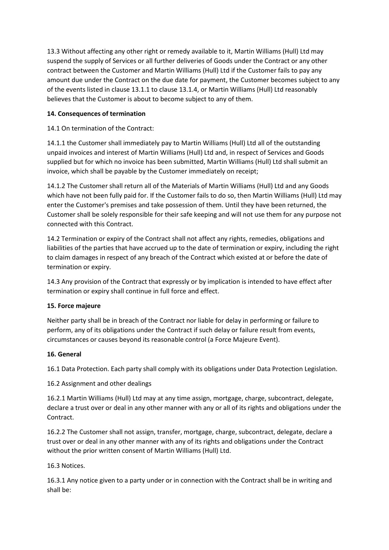13.3 Without affecting any other right or remedy available to it, Martin Williams (Hull) Ltd may suspend the supply of Services or all further deliveries of Goods under the Contract or any other contract between the Customer and Martin Williams (Hull) Ltd if the Customer fails to pay any amount due under the Contract on the due date for payment, the Customer becomes subject to any of the events listed in clause 13.1.1 to clause 13.1.4, or Martin Williams (Hull) Ltd reasonably believes that the Customer is about to become subject to any of them.

# **14. Consequences of termination**

14.1 On termination of the Contract:

14.1.1 the Customer shall immediately pay to Martin Williams (Hull) Ltd all of the outstanding unpaid invoices and interest of Martin Williams (Hull) Ltd and, in respect of Services and Goods supplied but for which no invoice has been submitted, Martin Williams (Hull) Ltd shall submit an invoice, which shall be payable by the Customer immediately on receipt;

14.1.2 The Customer shall return all of the Materials of Martin Williams (Hull) Ltd and any Goods which have not been fully paid for. If the Customer fails to do so, then Martin Williams (Hull) Ltd may enter the Customer's premises and take possession of them. Until they have been returned, the Customer shall be solely responsible for their safe keeping and will not use them for any purpose not connected with this Contract.

14.2 Termination or expiry of the Contract shall not affect any rights, remedies, obligations and liabilities of the parties that have accrued up to the date of termination or expiry, including the right to claim damages in respect of any breach of the Contract which existed at or before the date of termination or expiry.

14.3 Any provision of the Contract that expressly or by implication is intended to have effect after termination or expiry shall continue in full force and effect.

# **15. Force majeure**

Neither party shall be in breach of the Contract nor liable for delay in performing or failure to perform, any of its obligations under the Contract if such delay or failure result from events, circumstances or causes beyond its reasonable control (a Force Majeure Event).

# **16. General**

16.1 Data Protection. Each party shall comply with its obligations under Data Protection Legislation.

16.2 Assignment and other dealings

16.2.1 Martin Williams (Hull) Ltd may at any time assign, mortgage, charge, subcontract, delegate, declare a trust over or deal in any other manner with any or all of its rights and obligations under the Contract.

16.2.2 The Customer shall not assign, transfer, mortgage, charge, subcontract, delegate, declare a trust over or deal in any other manner with any of its rights and obligations under the Contract without the prior written consent of Martin Williams (Hull) Ltd.

# 16.3 Notices.

16.3.1 Any notice given to a party under or in connection with the Contract shall be in writing and shall be: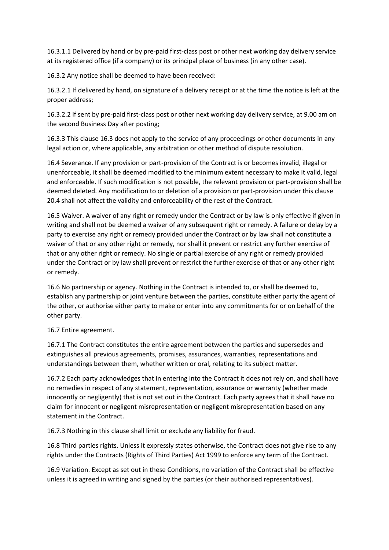16.3.1.1 Delivered by hand or by pre-paid first-class post or other next working day delivery service at its registered office (if a company) or its principal place of business (in any other case).

16.3.2 Any notice shall be deemed to have been received:

16.3.2.1 If delivered by hand, on signature of a delivery receipt or at the time the notice is left at the proper address;

16.3.2.2 if sent by pre-paid first-class post or other next working day delivery service, at 9.00 am on the second Business Day after posting;

16.3.3 This clause 16.3 does not apply to the service of any proceedings or other documents in any legal action or, where applicable, any arbitration or other method of dispute resolution.

16.4 Severance. If any provision or part-provision of the Contract is or becomes invalid, illegal or unenforceable, it shall be deemed modified to the minimum extent necessary to make it valid, legal and enforceable. If such modification is not possible, the relevant provision or part-provision shall be deemed deleted. Any modification to or deletion of a provision or part-provision under this clause 20.4 shall not affect the validity and enforceability of the rest of the Contract.

16.5 Waiver. A waiver of any right or remedy under the Contract or by law is only effective if given in writing and shall not be deemed a waiver of any subsequent right or remedy. A failure or delay by a party to exercise any right or remedy provided under the Contract or by law shall not constitute a waiver of that or any other right or remedy, nor shall it prevent or restrict any further exercise of that or any other right or remedy. No single or partial exercise of any right or remedy provided under the Contract or by law shall prevent or restrict the further exercise of that or any other right or remedy.

16.6 No partnership or agency. Nothing in the Contract is intended to, or shall be deemed to, establish any partnership or joint venture between the parties, constitute either party the agent of the other, or authorise either party to make or enter into any commitments for or on behalf of the other party.

### 16.7 Entire agreement.

16.7.1 The Contract constitutes the entire agreement between the parties and supersedes and extinguishes all previous agreements, promises, assurances, warranties, representations and understandings between them, whether written or oral, relating to its subject matter.

16.7.2 Each party acknowledges that in entering into the Contract it does not rely on, and shall have no remedies in respect of any statement, representation, assurance or warranty (whether made innocently or negligently) that is not set out in the Contract. Each party agrees that it shall have no claim for innocent or negligent misrepresentation or negligent misrepresentation based on any statement in the Contract.

16.7.3 Nothing in this clause shall limit or exclude any liability for fraud.

16.8 Third parties rights. Unless it expressly states otherwise, the Contract does not give rise to any rights under the Contracts (Rights of Third Parties) Act 1999 to enforce any term of the Contract.

16.9 Variation. Except as set out in these Conditions, no variation of the Contract shall be effective unless it is agreed in writing and signed by the parties (or their authorised representatives).